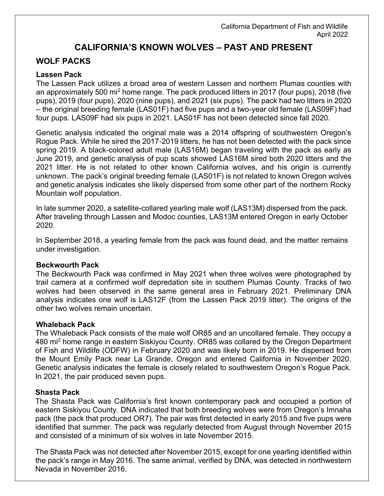# **CALIFORNIA'S KNOWN WOLVES – PAST AND PRESENT**

## **WOLF PACKS**

#### **Lassen Pack**

The Lassen Pack utilizes a broad area of western Lassen and northern Plumas counties with an approximately 500 mi<sup>2</sup> home range. The pack produced litters in 2017 (four pups), 2018 (five pups), 2019 (four pups), 2020 (nine pups), and 2021 (six pups). The pack had two litters in 2020 – the original breeding female (LAS01F) had five pups and a two-year old female (LAS09F) had four pups. LAS09F had six pups in 2021. LAS01F has not been detected since fall 2020.

Genetic analysis indicated the original male was a 2014 offspring of southwestern Oregon's Rogue Pack. While he sired the 2017-2019 litters, he has not been detected with the pack since spring 2019. A black-colored adult male (LAS16M) began traveling with the pack as early as June 2019, and genetic analysis of pup scats showed LAS16M sired both 2020 litters and the 2021 litter. He is not related to other known California wolves, and his origin is currently unknown. The pack's original breeding female (LAS01F) is not related to known Oregon wolves and genetic analysis indicates she likely dispersed from some other part of the northern Rocky Mountain wolf population.

In late summer 2020, a satellite-collared yearling male wolf (LAS13M) dispersed from the pack. After traveling through Lassen and Modoc counties, LAS13M entered Oregon in early October 2020.

In September 2018, a yearling female from the pack was found dead, and the matter remains under investigation.

#### **Beckwourth Pack**

The Beckwourth Pack was confirmed in May 2021 when three wolves were photographed by trail camera at a confirmed wolf depredation site in southern Plumas County. Tracks of two wolves had been observed in the same general area in February 2021. Preliminary DNA analysis indicates one wolf is LAS12F (from the Lassen Pack 2019 litter). The origins of the other two wolves remain uncertain.

#### **Whaleback Pack**

The Whaleback Pack consists of the male wolf OR85 and an uncollared female. They occupy a 480 mi<sup>2</sup> home range in eastern Siskiyou County. OR85 was collared by the Oregon Department of Fish and Wildlife (ODFW) in February 2020 and was likely born in 2019. He dispersed from the Mount Emily Pack near La Grande, Oregon and entered California in November 2020. Genetic analysis indicates the female is closely related to southwestern Oregon's Rogue Pack. In 2021, the pair produced seven pups.

#### **Shasta Pack**

The Shasta Pack was California's first known contemporary pack and occupied a portion of eastern Siskiyou County. DNA indicated that both breeding wolves were from Oregon's Imnaha pack (the pack that produced OR7). The pair was first detected in early 2015 and five pups were identified that summer. The pack was regularly detected from August through November 2015 and consisted of a minimum of six wolves in late November 2015.

The Shasta Pack was not detected after November 2015, except for one yearling identified within the pack's range in May 2016. The same animal, verified by DNA, was detected in northwestern Nevada in November 2016.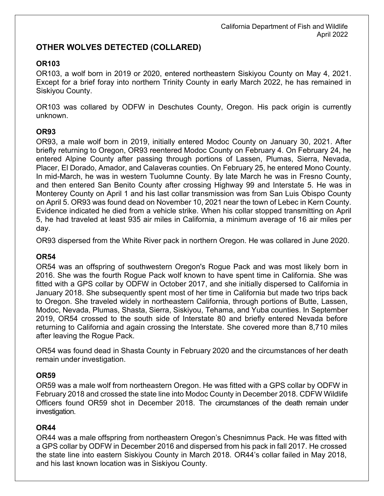## **OTHER WOLVES DETECTED (COLLARED)**

### **OR103**

OR103, a wolf born in 2019 or 2020, entered northeastern Siskiyou County on May 4, 2021. Except for a brief foray into northern Trinity County in early March 2022, he has remained in Siskiyou County.

OR103 was collared by ODFW in Deschutes County, Oregon. His pack origin is currently unknown.

### **OR93**

OR93, a male wolf born in 2019, initially entered Modoc County on January 30, 2021. After briefly returning to Oregon, OR93 reentered Modoc County on February 4. On February 24, he entered Alpine County after passing through portions of Lassen, Plumas, Sierra, Nevada, Placer, El Dorado, Amador, and Calaveras counties. On February 25, he entered Mono County. In mid-March, he was in western Tuolumne County. By late March he was in Fresno County, and then entered San Benito County after crossing Highway 99 and Interstate 5. He was in Monterey County on April 1 and his last collar transmission was from San Luis Obispo County on April 5. OR93 was found dead on November 10, 2021 near the town of Lebec in Kern County. Evidence indicated he died from a vehicle strike. When his collar stopped transmitting on April 5, he had traveled at least 935 air miles in California, a minimum average of 16 air miles per day.

OR93 dispersed from the White River pack in northern Oregon. He was collared in June 2020.

### **OR54**

OR54 was an offspring of southwestern Oregon's Rogue Pack and was most likely born in 2016. She was the fourth Rogue Pack wolf known to have spent time in California. She was fitted with a GPS collar by ODFW in October 2017, and she initially dispersed to California in January 2018. She subsequently spent most of her time in California but made two trips back to Oregon. She traveled widely in northeastern California, through portions of Butte, Lassen, Modoc, Nevada, Plumas, Shasta, Sierra, Siskiyou, Tehama, and Yuba counties. In September 2019, OR54 crossed to the south side of Interstate 80 and briefly entered Nevada before returning to California and again crossing the Interstate. She covered more than 8,710 miles after leaving the Rogue Pack.

OR54 was found dead in Shasta County in February 2020 and the circumstances of her death remain under investigation.

### **OR59**

OR59 was a male wolf from northeastern Oregon. He was fitted with a GPS collar by ODFW in February 2018 and crossed the state line into Modoc County in December 2018. CDFW Wildlife Officers found OR59 shot in December 2018. The circumstances of the death remain under investigation.

### **OR44**

OR44 was a male offspring from northeastern Oregon's Chesnimnus Pack. He was fitted with a GPS collar by ODFW in December 2016 and dispersed from his pack in fall 2017. He crossed the state line into eastern Siskiyou County in March 2018. OR44's collar failed in May 2018, and his last known location was in Siskiyou County.